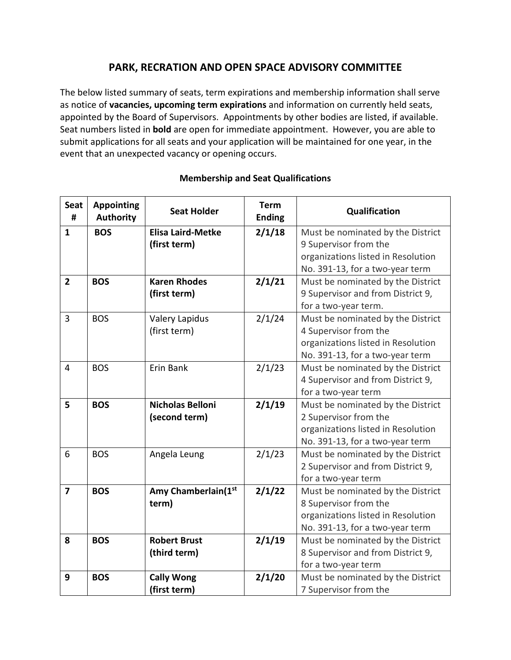## **PARK, RECRATION AND OPEN SPACE ADVISORY COMMITTEE**

The below listed summary of seats, term expirations and membership information shall serve as notice of **vacancies, upcoming term expirations** and information on currently held seats, appointed by the Board of Supervisors. Appointments by other bodies are listed, if available. Seat numbers listed in **bold** are open for immediate appointment. However, you are able to submit applications for all seats and your application will be maintained for one year, in the event that an unexpected vacancy or opening occurs.

| <b>Seat</b><br># | <b>Appointing</b><br><b>Authority</b> | <b>Seat Holder</b>       | <b>Term</b><br><b>Ending</b> | Qualification                      |
|------------------|---------------------------------------|--------------------------|------------------------------|------------------------------------|
| $\mathbf{1}$     | <b>BOS</b>                            | <b>Elisa Laird-Metke</b> | 2/1/18                       | Must be nominated by the District  |
|                  |                                       | (first term)             |                              | 9 Supervisor from the              |
|                  |                                       |                          |                              | organizations listed in Resolution |
|                  |                                       |                          |                              | No. 391-13, for a two-year term    |
| $\overline{2}$   | <b>BOS</b>                            | <b>Karen Rhodes</b>      | 2/1/21                       | Must be nominated by the District  |
|                  |                                       | (first term)             |                              | 9 Supervisor and from District 9,  |
|                  |                                       |                          |                              | for a two-year term.               |
| 3                | <b>BOS</b>                            | <b>Valery Lapidus</b>    | 2/1/24                       | Must be nominated by the District  |
|                  |                                       | (first term)             |                              | 4 Supervisor from the              |
|                  |                                       |                          |                              | organizations listed in Resolution |
|                  |                                       |                          |                              | No. 391-13, for a two-year term    |
| $\overline{4}$   | <b>BOS</b>                            | Erin Bank                | 2/1/23                       | Must be nominated by the District  |
|                  |                                       |                          |                              | 4 Supervisor and from District 9,  |
|                  |                                       |                          |                              | for a two-year term                |
| 5                | <b>BOS</b>                            | <b>Nicholas Belloni</b>  | 2/1/19                       | Must be nominated by the District  |
|                  |                                       | (second term)            |                              | 2 Supervisor from the              |
|                  |                                       |                          |                              | organizations listed in Resolution |
|                  |                                       |                          |                              | No. 391-13, for a two-year term    |
| 6                | <b>BOS</b>                            | Angela Leung             | 2/1/23                       | Must be nominated by the District  |
|                  |                                       |                          |                              | 2 Supervisor and from District 9,  |
|                  |                                       |                          |                              | for a two-year term                |
| $\overline{7}$   | <b>BOS</b>                            | Amy Chamberlain(1st      | 2/1/22                       | Must be nominated by the District  |
|                  |                                       | term)                    |                              | 8 Supervisor from the              |
|                  |                                       |                          |                              | organizations listed in Resolution |
|                  |                                       |                          |                              | No. 391-13, for a two-year term    |
| 8                | <b>BOS</b>                            | <b>Robert Brust</b>      | 2/1/19                       | Must be nominated by the District  |
|                  |                                       | (third term)             |                              | 8 Supervisor and from District 9,  |
|                  |                                       |                          |                              | for a two-year term                |
| 9                | <b>BOS</b>                            | <b>Cally Wong</b>        | 2/1/20                       | Must be nominated by the District  |
|                  |                                       | (first term)             |                              | 7 Supervisor from the              |

## **Membership and Seat Qualifications**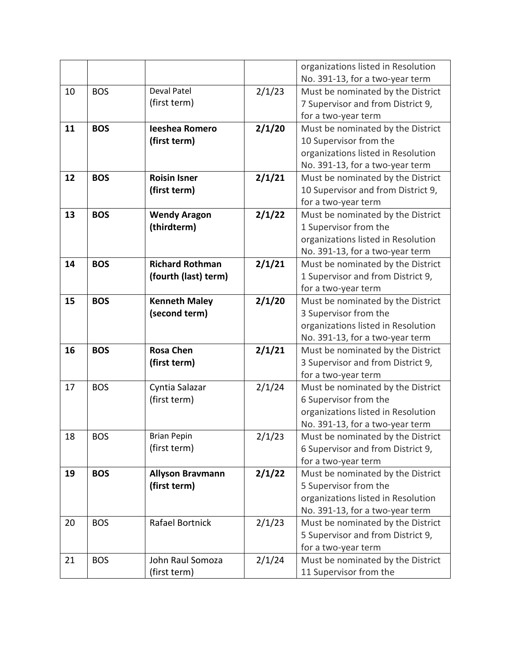|    |            |                         |        | organizations listed in Resolution |
|----|------------|-------------------------|--------|------------------------------------|
|    |            |                         |        | No. 391-13, for a two-year term    |
| 10 | <b>BOS</b> | <b>Deval Patel</b>      | 2/1/23 | Must be nominated by the District  |
|    |            | (first term)            |        | 7 Supervisor and from District 9,  |
|    |            |                         |        | for a two-year term                |
| 11 | <b>BOS</b> | <b>Ieeshea Romero</b>   | 2/1/20 | Must be nominated by the District  |
|    |            | (first term)            |        | 10 Supervisor from the             |
|    |            |                         |        | organizations listed in Resolution |
|    |            |                         |        | No. 391-13, for a two-year term    |
| 12 | <b>BOS</b> | <b>Roisin Isner</b>     | 2/1/21 | Must be nominated by the District  |
|    |            | (first term)            |        | 10 Supervisor and from District 9, |
|    |            |                         |        | for a two-year term                |
| 13 | <b>BOS</b> | <b>Wendy Aragon</b>     | 2/1/22 | Must be nominated by the District  |
|    |            | (thirdterm)             |        | 1 Supervisor from the              |
|    |            |                         |        | organizations listed in Resolution |
|    |            |                         |        | No. 391-13, for a two-year term    |
| 14 | <b>BOS</b> | <b>Richard Rothman</b>  | 2/1/21 | Must be nominated by the District  |
|    |            | (fourth (last) term)    |        | 1 Supervisor and from District 9,  |
|    |            |                         |        | for a two-year term                |
| 15 | <b>BOS</b> | <b>Kenneth Maley</b>    | 2/1/20 | Must be nominated by the District  |
|    |            | (second term)           |        | 3 Supervisor from the              |
|    |            |                         |        | organizations listed in Resolution |
|    |            |                         |        | No. 391-13, for a two-year term    |
| 16 | <b>BOS</b> | <b>Rosa Chen</b>        | 2/1/21 | Must be nominated by the District  |
|    |            | (first term)            |        | 3 Supervisor and from District 9,  |
|    |            |                         |        | for a two-year term                |
| 17 | <b>BOS</b> | Cyntia Salazar          | 2/1/24 | Must be nominated by the District  |
|    |            | (first term)            |        | 6 Supervisor from the              |
|    |            |                         |        | organizations listed in Resolution |
|    |            |                         |        | No. 391-13, for a two-year term    |
| 18 | <b>BOS</b> | <b>Brian Pepin</b>      | 2/1/23 | Must be nominated by the District  |
|    |            | (first term)            |        | 6 Supervisor and from District 9,  |
|    |            |                         |        | for a two-year term                |
| 19 | <b>BOS</b> | <b>Allyson Bravmann</b> | 2/1/22 | Must be nominated by the District  |
|    |            | (first term)            |        | 5 Supervisor from the              |
|    |            |                         |        | organizations listed in Resolution |
|    |            |                         |        | No. 391-13, for a two-year term    |
| 20 | <b>BOS</b> | Rafael Bortnick         | 2/1/23 | Must be nominated by the District  |
|    |            |                         |        | 5 Supervisor and from District 9,  |
|    |            |                         |        | for a two-year term                |
| 21 | <b>BOS</b> | John Raul Somoza        | 2/1/24 | Must be nominated by the District  |
|    |            | (first term)            |        | 11 Supervisor from the             |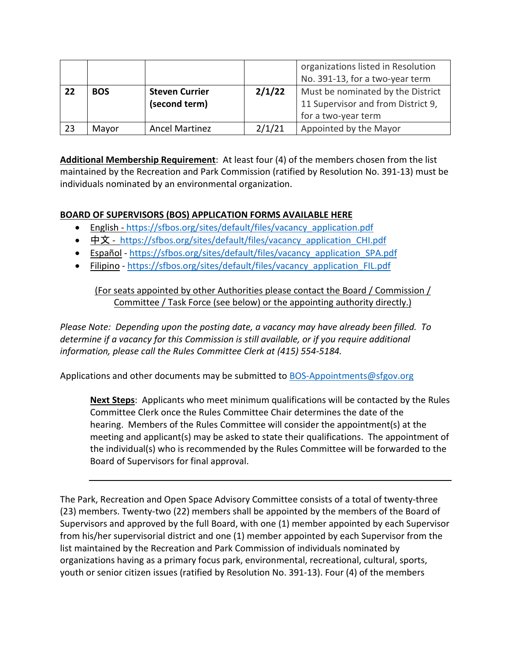|    |            |                                        |        | organizations listed in Resolution<br>No. 391-13, for a two-year term                          |
|----|------------|----------------------------------------|--------|------------------------------------------------------------------------------------------------|
| 22 | <b>BOS</b> | <b>Steven Currier</b><br>(second term) | 2/1/22 | Must be nominated by the District<br>11 Supervisor and from District 9,<br>for a two-year term |
| 23 | Mayor      | <b>Ancel Martinez</b>                  | 2/1/21 | Appointed by the Mayor                                                                         |

**Additional Membership Requirement**: At least four (4) of the members chosen from the list maintained by the Recreation and Park Commission (ratified by Resolution No. 391-13) must be individuals nominated by an environmental organization.

## **BOARD OF SUPERVISORS (BOS) APPLICATION FORMS AVAILABLE HERE**

- English [https://sfbos.org/sites/default/files/vacancy\\_application.pdf](https://sfbos.org/sites/default/files/vacancy_application.pdf)
- [中文](https://sfbos.org/sites/default/files/vacancy_application_CHI.pdf) https://sfbos.org/sites/default/files/vacancy application CHI.pdf
- [Español](https://sfbos.org/sites/default/files/vacancy_application_SPA.pdf) [https://sfbos.org/sites/default/files/vacancy\\_application\\_SPA.pdf](https://sfbos.org/sites/default/files/vacancy_application_SPA.pdf)
- [Filipino](https://sfbos.org/sites/default/files/vacancy_application_FIL.pdf) [https://sfbos.org/sites/default/files/vacancy\\_application\\_FIL.pdf](https://sfbos.org/sites/default/files/vacancy_application_FIL.pdf)

(For seats appointed by other Authorities please contact the Board / Commission / Committee / Task Force (see below) or the appointing authority directly.)

*Please Note: Depending upon the posting date, a vacancy may have already been filled. To determine if a vacancy for this Commission is still available, or if you require additional information, please call the Rules Committee Clerk at (415) 554-5184.*

Applications and other documents may be submitted to [BOS-Appointments@sfgov.org](mailto:BOS-Appointments@sfgov.org)

**Next Steps**: Applicants who meet minimum qualifications will be contacted by the Rules Committee Clerk once the Rules Committee Chair determines the date of the hearing. Members of the Rules Committee will consider the appointment(s) at the meeting and applicant(s) may be asked to state their qualifications. The appointment of the individual(s) who is recommended by the Rules Committee will be forwarded to the Board of Supervisors for final approval.

The Park, Recreation and Open Space Advisory Committee consists of a total of twenty-three (23) members. Twenty-two (22) members shall be appointed by the members of the Board of Supervisors and approved by the full Board, with one (1) member appointed by each Supervisor from his/her supervisorial district and one (1) member appointed by each Supervisor from the list maintained by the Recreation and Park Commission of individuals nominated by organizations having as a primary focus park, environmental, recreational, cultural, sports, youth or senior citizen issues (ratified by Resolution No. 391-13). Four (4) of the members